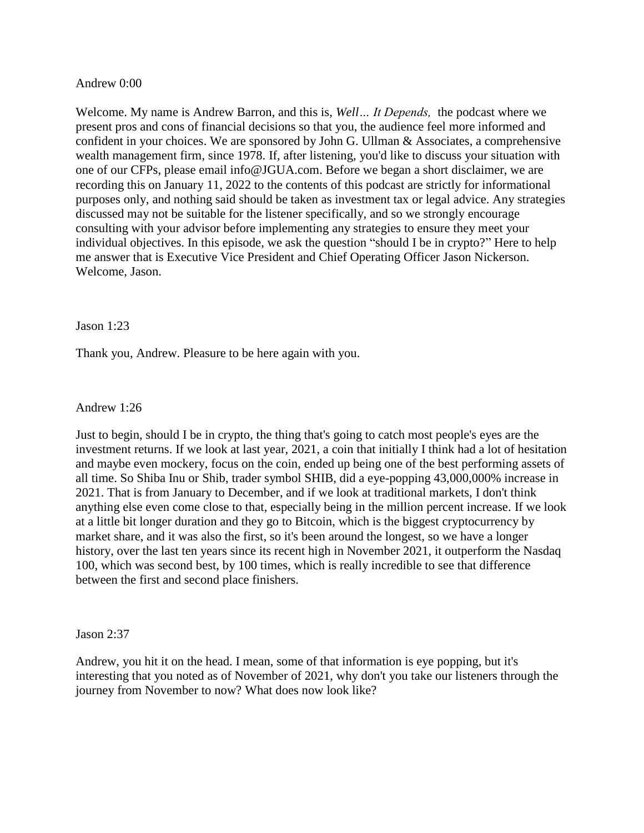## Andrew 0:00

Welcome. My name is Andrew Barron, and this is, *Well… It Depends,* the podcast where we present pros and cons of financial decisions so that you, the audience feel more informed and confident in your choices. We are sponsored by John G. Ullman & Associates, a comprehensive wealth management firm, since 1978. If, after listening, you'd like to discuss your situation with one of our CFPs, please email info@JGUA.com. Before we began a short disclaimer, we are recording this on January 11, 2022 to the contents of this podcast are strictly for informational purposes only, and nothing said should be taken as investment tax or legal advice. Any strategies discussed may not be suitable for the listener specifically, and so we strongly encourage consulting with your advisor before implementing any strategies to ensure they meet your individual objectives. In this episode, we ask the question "should I be in crypto?" Here to help me answer that is Executive Vice President and Chief Operating Officer Jason Nickerson. Welcome, Jason.

## Jason 1:23

Thank you, Andrew. Pleasure to be here again with you.

## Andrew 1:26

Just to begin, should I be in crypto, the thing that's going to catch most people's eyes are the investment returns. If we look at last year, 2021, a coin that initially I think had a lot of hesitation and maybe even mockery, focus on the coin, ended up being one of the best performing assets of all time. So Shiba Inu or Shib, trader symbol SHIB, did a eye-popping 43,000,000% increase in 2021. That is from January to December, and if we look at traditional markets, I don't think anything else even come close to that, especially being in the million percent increase. If we look at a little bit longer duration and they go to Bitcoin, which is the biggest cryptocurrency by market share, and it was also the first, so it's been around the longest, so we have a longer history, over the last ten years since its recent high in November 2021, it outperform the Nasdaq 100, which was second best, by 100 times, which is really incredible to see that difference between the first and second place finishers.

### Jason 2:37

Andrew, you hit it on the head. I mean, some of that information is eye popping, but it's interesting that you noted as of November of 2021, why don't you take our listeners through the journey from November to now? What does now look like?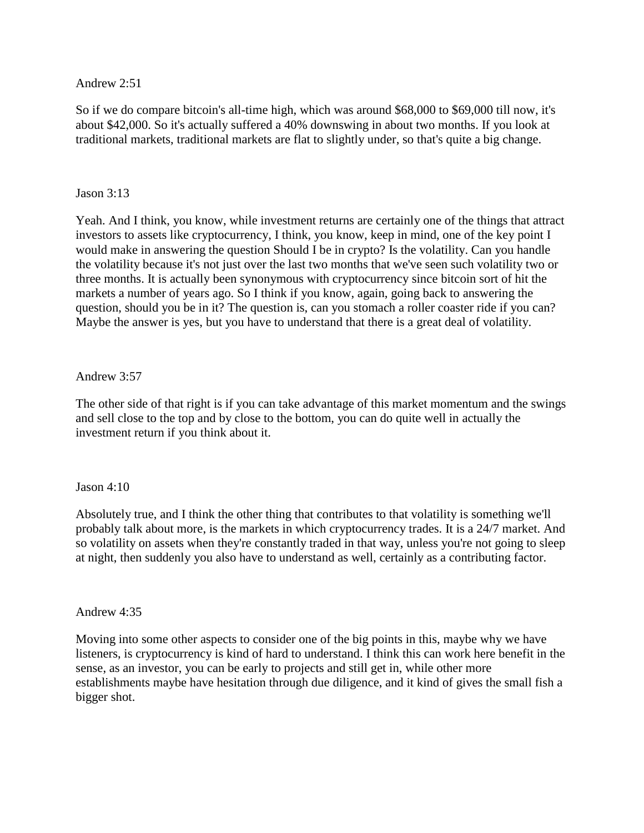Andrew 2:51

So if we do compare bitcoin's all-time high, which was around \$68,000 to \$69,000 till now, it's about \$42,000. So it's actually suffered a 40% downswing in about two months. If you look at traditional markets, traditional markets are flat to slightly under, so that's quite a big change.

## Jason 3:13

Yeah. And I think, you know, while investment returns are certainly one of the things that attract investors to assets like cryptocurrency, I think, you know, keep in mind, one of the key point I would make in answering the question Should I be in crypto? Is the volatility. Can you handle the volatility because it's not just over the last two months that we've seen such volatility two or three months. It is actually been synonymous with cryptocurrency since bitcoin sort of hit the markets a number of years ago. So I think if you know, again, going back to answering the question, should you be in it? The question is, can you stomach a roller coaster ride if you can? Maybe the answer is yes, but you have to understand that there is a great deal of volatility.

## Andrew 3:57

The other side of that right is if you can take advantage of this market momentum and the swings and sell close to the top and by close to the bottom, you can do quite well in actually the investment return if you think about it.

### Jason 4:10

Absolutely true, and I think the other thing that contributes to that volatility is something we'll probably talk about more, is the markets in which cryptocurrency trades. It is a 24/7 market. And so volatility on assets when they're constantly traded in that way, unless you're not going to sleep at night, then suddenly you also have to understand as well, certainly as a contributing factor.

### Andrew 4:35

Moving into some other aspects to consider one of the big points in this, maybe why we have listeners, is cryptocurrency is kind of hard to understand. I think this can work here benefit in the sense, as an investor, you can be early to projects and still get in, while other more establishments maybe have hesitation through due diligence, and it kind of gives the small fish a bigger shot.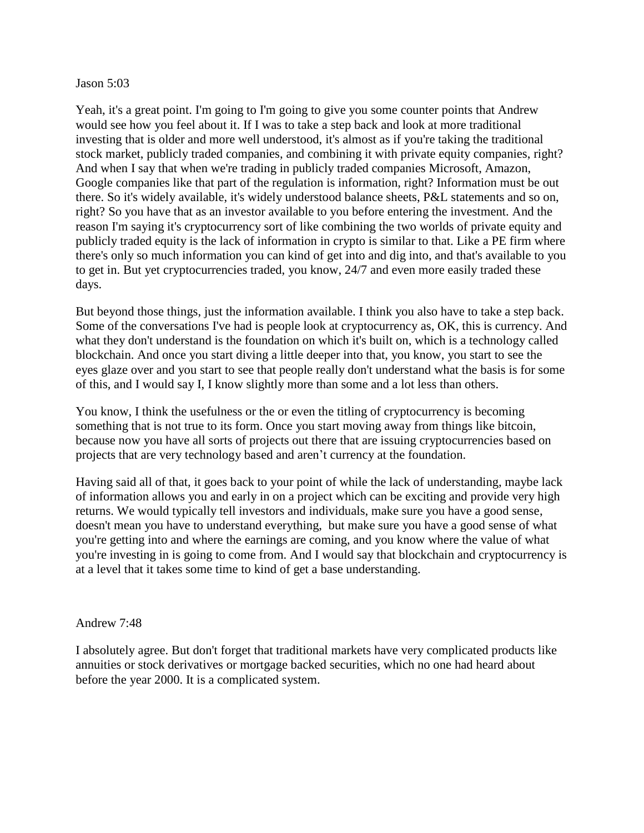### Jason 5:03

Yeah, it's a great point. I'm going to I'm going to give you some counter points that Andrew would see how you feel about it. If I was to take a step back and look at more traditional investing that is older and more well understood, it's almost as if you're taking the traditional stock market, publicly traded companies, and combining it with private equity companies, right? And when I say that when we're trading in publicly traded companies Microsoft, Amazon, Google companies like that part of the regulation is information, right? Information must be out there. So it's widely available, it's widely understood balance sheets, P&L statements and so on, right? So you have that as an investor available to you before entering the investment. And the reason I'm saying it's cryptocurrency sort of like combining the two worlds of private equity and publicly traded equity is the lack of information in crypto is similar to that. Like a PE firm where there's only so much information you can kind of get into and dig into, and that's available to you to get in. But yet cryptocurrencies traded, you know, 24/7 and even more easily traded these days.

But beyond those things, just the information available. I think you also have to take a step back. Some of the conversations I've had is people look at cryptocurrency as, OK, this is currency. And what they don't understand is the foundation on which it's built on, which is a technology called blockchain. And once you start diving a little deeper into that, you know, you start to see the eyes glaze over and you start to see that people really don't understand what the basis is for some of this, and I would say I, I know slightly more than some and a lot less than others.

You know, I think the usefulness or the or even the titling of cryptocurrency is becoming something that is not true to its form. Once you start moving away from things like bitcoin, because now you have all sorts of projects out there that are issuing cryptocurrencies based on projects that are very technology based and aren't currency at the foundation.

Having said all of that, it goes back to your point of while the lack of understanding, maybe lack of information allows you and early in on a project which can be exciting and provide very high returns. We would typically tell investors and individuals, make sure you have a good sense, doesn't mean you have to understand everything, but make sure you have a good sense of what you're getting into and where the earnings are coming, and you know where the value of what you're investing in is going to come from. And I would say that blockchain and cryptocurrency is at a level that it takes some time to kind of get a base understanding.

## Andrew 7:48

I absolutely agree. But don't forget that traditional markets have very complicated products like annuities or stock derivatives or mortgage backed securities, which no one had heard about before the year 2000. It is a complicated system.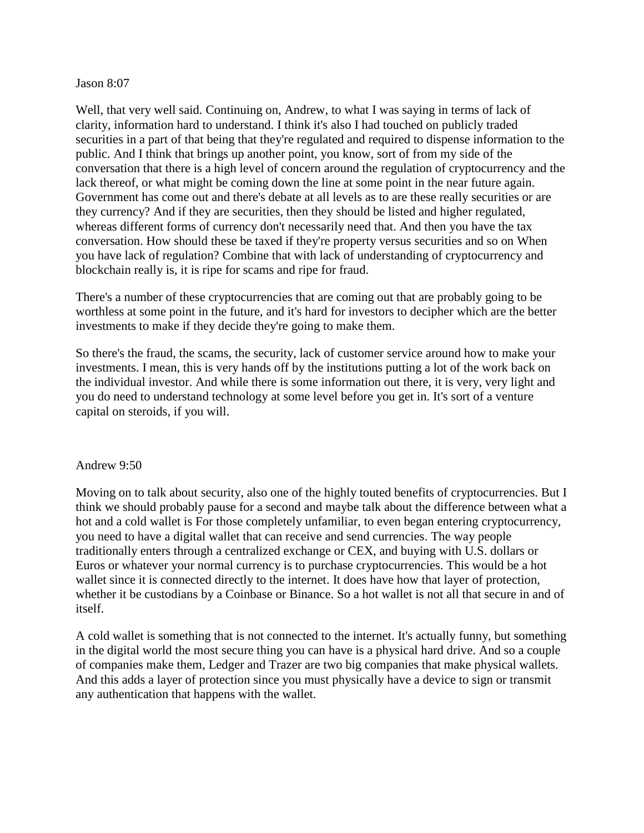## Jason 8:07

Well, that very well said. Continuing on, Andrew, to what I was saying in terms of lack of clarity, information hard to understand. I think it's also I had touched on publicly traded securities in a part of that being that they're regulated and required to dispense information to the public. And I think that brings up another point, you know, sort of from my side of the conversation that there is a high level of concern around the regulation of cryptocurrency and the lack thereof, or what might be coming down the line at some point in the near future again. Government has come out and there's debate at all levels as to are these really securities or are they currency? And if they are securities, then they should be listed and higher regulated, whereas different forms of currency don't necessarily need that. And then you have the tax conversation. How should these be taxed if they're property versus securities and so on When you have lack of regulation? Combine that with lack of understanding of cryptocurrency and blockchain really is, it is ripe for scams and ripe for fraud.

There's a number of these cryptocurrencies that are coming out that are probably going to be worthless at some point in the future, and it's hard for investors to decipher which are the better investments to make if they decide they're going to make them.

So there's the fraud, the scams, the security, lack of customer service around how to make your investments. I mean, this is very hands off by the institutions putting a lot of the work back on the individual investor. And while there is some information out there, it is very, very light and you do need to understand technology at some level before you get in. It's sort of a venture capital on steroids, if you will.

### Andrew 9:50

Moving on to talk about security, also one of the highly touted benefits of cryptocurrencies. But I think we should probably pause for a second and maybe talk about the difference between what a hot and a cold wallet is For those completely unfamiliar, to even began entering cryptocurrency, you need to have a digital wallet that can receive and send currencies. The way people traditionally enters through a centralized exchange or CEX, and buying with U.S. dollars or Euros or whatever your normal currency is to purchase cryptocurrencies. This would be a hot wallet since it is connected directly to the internet. It does have how that layer of protection, whether it be custodians by a Coinbase or Binance. So a hot wallet is not all that secure in and of itself.

A cold wallet is something that is not connected to the internet. It's actually funny, but something in the digital world the most secure thing you can have is a physical hard drive. And so a couple of companies make them, Ledger and Trazer are two big companies that make physical wallets. And this adds a layer of protection since you must physically have a device to sign or transmit any authentication that happens with the wallet.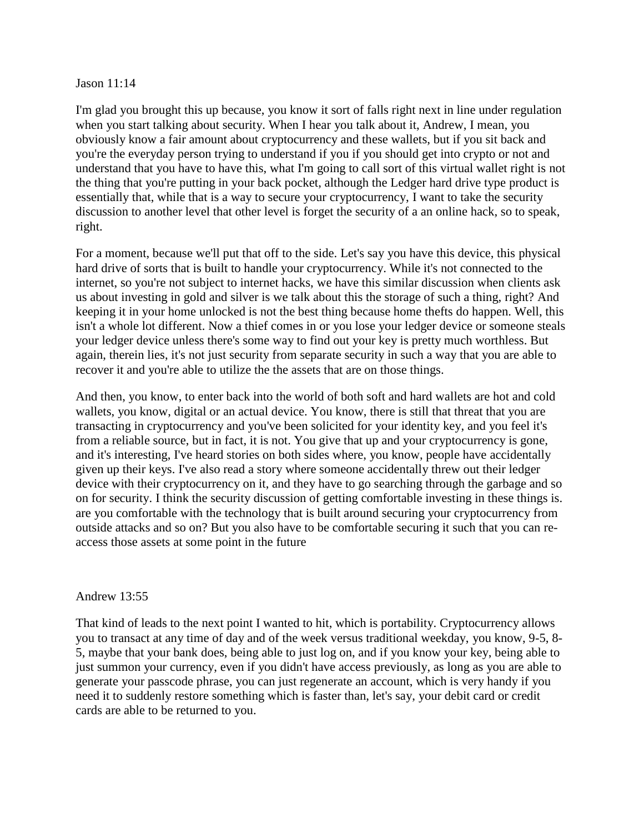### Jason 11:14

I'm glad you brought this up because, you know it sort of falls right next in line under regulation when you start talking about security. When I hear you talk about it, Andrew, I mean, you obviously know a fair amount about cryptocurrency and these wallets, but if you sit back and you're the everyday person trying to understand if you if you should get into crypto or not and understand that you have to have this, what I'm going to call sort of this virtual wallet right is not the thing that you're putting in your back pocket, although the Ledger hard drive type product is essentially that, while that is a way to secure your cryptocurrency, I want to take the security discussion to another level that other level is forget the security of a an online hack, so to speak, right.

For a moment, because we'll put that off to the side. Let's say you have this device, this physical hard drive of sorts that is built to handle your cryptocurrency. While it's not connected to the internet, so you're not subject to internet hacks, we have this similar discussion when clients ask us about investing in gold and silver is we talk about this the storage of such a thing, right? And keeping it in your home unlocked is not the best thing because home thefts do happen. Well, this isn't a whole lot different. Now a thief comes in or you lose your ledger device or someone steals your ledger device unless there's some way to find out your key is pretty much worthless. But again, therein lies, it's not just security from separate security in such a way that you are able to recover it and you're able to utilize the the assets that are on those things.

And then, you know, to enter back into the world of both soft and hard wallets are hot and cold wallets, you know, digital or an actual device. You know, there is still that threat that you are transacting in cryptocurrency and you've been solicited for your identity key, and you feel it's from a reliable source, but in fact, it is not. You give that up and your cryptocurrency is gone, and it's interesting, I've heard stories on both sides where, you know, people have accidentally given up their keys. I've also read a story where someone accidentally threw out their ledger device with their cryptocurrency on it, and they have to go searching through the garbage and so on for security. I think the security discussion of getting comfortable investing in these things is. are you comfortable with the technology that is built around securing your cryptocurrency from outside attacks and so on? But you also have to be comfortable securing it such that you can reaccess those assets at some point in the future

## Andrew 13:55

That kind of leads to the next point I wanted to hit, which is portability. Cryptocurrency allows you to transact at any time of day and of the week versus traditional weekday, you know, 9-5, 8- 5, maybe that your bank does, being able to just log on, and if you know your key, being able to just summon your currency, even if you didn't have access previously, as long as you are able to generate your passcode phrase, you can just regenerate an account, which is very handy if you need it to suddenly restore something which is faster than, let's say, your debit card or credit cards are able to be returned to you.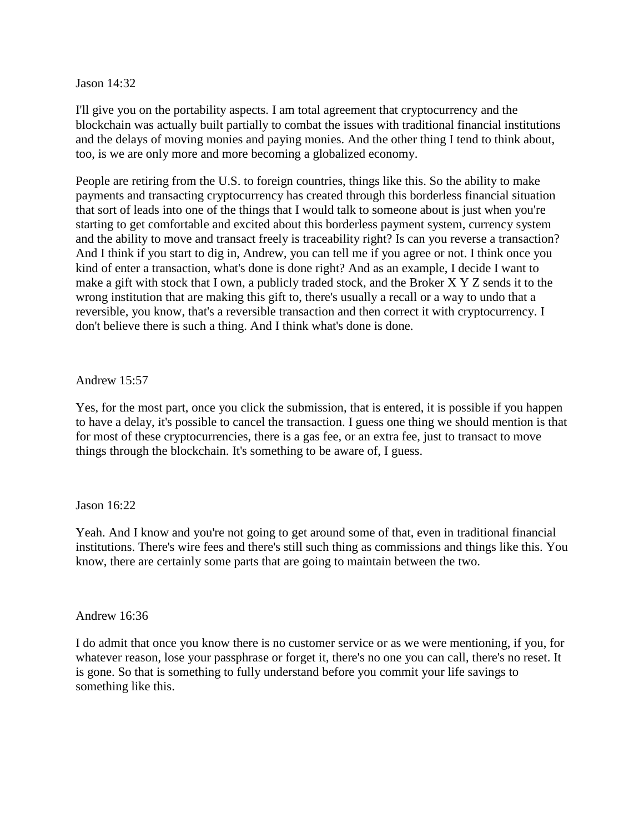## Jason 14:32

I'll give you on the portability aspects. I am total agreement that cryptocurrency and the blockchain was actually built partially to combat the issues with traditional financial institutions and the delays of moving monies and paying monies. And the other thing I tend to think about, too, is we are only more and more becoming a globalized economy.

People are retiring from the U.S. to foreign countries, things like this. So the ability to make payments and transacting cryptocurrency has created through this borderless financial situation that sort of leads into one of the things that I would talk to someone about is just when you're starting to get comfortable and excited about this borderless payment system, currency system and the ability to move and transact freely is traceability right? Is can you reverse a transaction? And I think if you start to dig in, Andrew, you can tell me if you agree or not. I think once you kind of enter a transaction, what's done is done right? And as an example, I decide I want to make a gift with stock that I own, a publicly traded stock, and the Broker X Y Z sends it to the wrong institution that are making this gift to, there's usually a recall or a way to undo that a reversible, you know, that's a reversible transaction and then correct it with cryptocurrency. I don't believe there is such a thing. And I think what's done is done.

## Andrew 15:57

Yes, for the most part, once you click the submission, that is entered, it is possible if you happen to have a delay, it's possible to cancel the transaction. I guess one thing we should mention is that for most of these cryptocurrencies, there is a gas fee, or an extra fee, just to transact to move things through the blockchain. It's something to be aware of, I guess.

### Jason 16:22

Yeah. And I know and you're not going to get around some of that, even in traditional financial institutions. There's wire fees and there's still such thing as commissions and things like this. You know, there are certainly some parts that are going to maintain between the two.

### Andrew 16:36

I do admit that once you know there is no customer service or as we were mentioning, if you, for whatever reason, lose your passphrase or forget it, there's no one you can call, there's no reset. It is gone. So that is something to fully understand before you commit your life savings to something like this.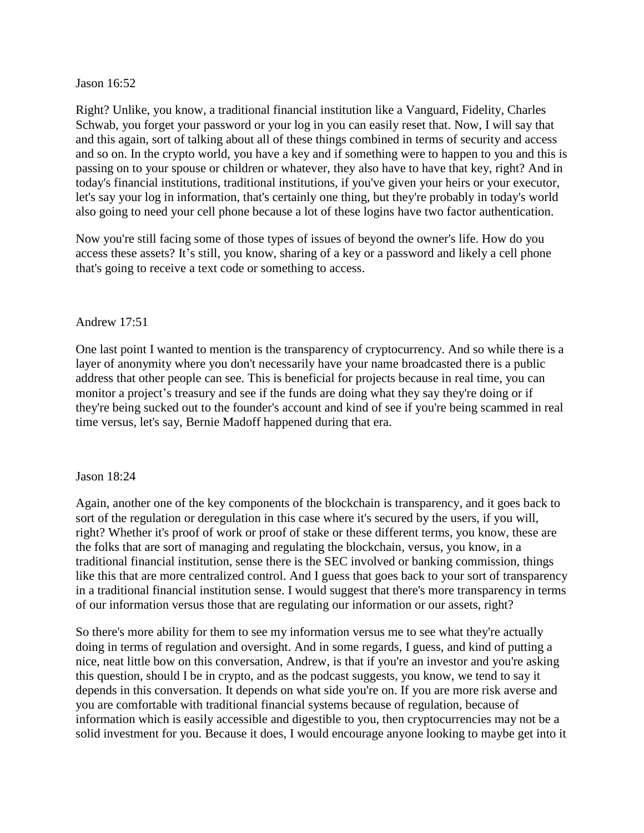## Jason 16:52

Right? Unlike, you know, a traditional financial institution like a Vanguard, Fidelity, Charles Schwab, you forget your password or your log in you can easily reset that. Now, I will say that and this again, sort of talking about all of these things combined in terms of security and access and so on. In the crypto world, you have a key and if something were to happen to you and this is passing on to your spouse or children or whatever, they also have to have that key, right? And in today's financial institutions, traditional institutions, if you've given your heirs or your executor, let's say your log in information, that's certainly one thing, but they're probably in today's world also going to need your cell phone because a lot of these logins have two factor authentication.

Now you're still facing some of those types of issues of beyond the owner's life. How do you access these assets? It's still, you know, sharing of a key or a password and likely a cell phone that's going to receive a text code or something to access.

## Andrew 17:51

One last point I wanted to mention is the transparency of cryptocurrency. And so while there is a layer of anonymity where you don't necessarily have your name broadcasted there is a public address that other people can see. This is beneficial for projects because in real time, you can monitor a project's treasury and see if the funds are doing what they say they're doing or if they're being sucked out to the founder's account and kind of see if you're being scammed in real time versus, let's say, Bernie Madoff happened during that era.

### Jason 18:24

Again, another one of the key components of the blockchain is transparency, and it goes back to sort of the regulation or deregulation in this case where it's secured by the users, if you will, right? Whether it's proof of work or proof of stake or these different terms, you know, these are the folks that are sort of managing and regulating the blockchain, versus, you know, in a traditional financial institution, sense there is the SEC involved or banking commission, things like this that are more centralized control. And I guess that goes back to your sort of transparency in a traditional financial institution sense. I would suggest that there's more transparency in terms of our information versus those that are regulating our information or our assets, right?

So there's more ability for them to see my information versus me to see what they're actually doing in terms of regulation and oversight. And in some regards, I guess, and kind of putting a nice, neat little bow on this conversation, Andrew, is that if you're an investor and you're asking this question, should I be in crypto, and as the podcast suggests, you know, we tend to say it depends in this conversation. It depends on what side you're on. If you are more risk averse and you are comfortable with traditional financial systems because of regulation, because of information which is easily accessible and digestible to you, then cryptocurrencies may not be a solid investment for you. Because it does, I would encourage anyone looking to maybe get into it